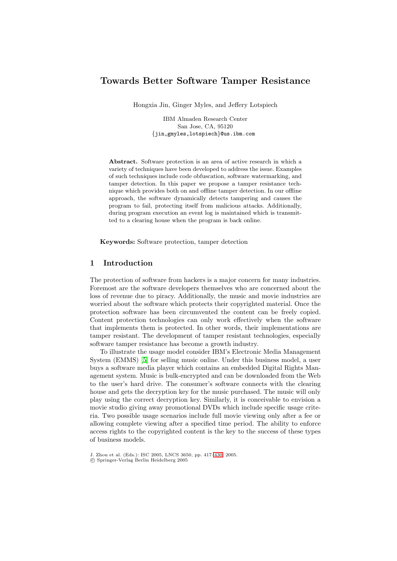# **Towards Better Software Tamper Resistance**

Hongxia Jin, Ginger Myles, and Jeffery Lotspiech

IBM Almaden Research Center San Jose, CA, 95120 {jin,gmyles,lotspiech}@us.ibm.com

**Abstract.** Software protection is an area of active research in which a variety of techniques have been developed to address the issue. Examples of such techniques include code obfuscation, software watermarking, and tamper detection. In this paper we propose a tamper resistance technique which provides both on and offline tamper detection. In our offline approach, the software dynamically detects tampering and causes the program to fail, protecting itself from malicious attacks. Additionally, during program execution an event log is maintained which is transmitted to a clearing house when the program is back online.

**Keywords:** Software protection, tamper detection

## **1 Introduction**

The protection of software from hackers is a major concern for many industries. Foremost are the software developers themselves who are concerned about the loss of revenue due to piracy. Additionally, the music and movie industries are worried about the software which protects their copyrighted material. Once the protection software has been circumvented the content can be freely copied. Content protection technologies can only work effectively when the software that implements them is protected. In other words, their implementations are tamper resistant. The development of tamper resistant technologies, especially software tamper resistance has become a growth industry.

To illustrate the usage model consider IBM's Electronic Media Management System (EMMS) [\[5\]](#page-13-0) for selling music online. Under this business model, a user buys a software media player which contains an embedded Digital Rights Management system. Music is bulk-encrypted and can be downloaded from the Web to the user's hard drive. The consumer's software connects with the clearing house and gets the decryption key for the music purchased. The music will only play using the correct decryption key. Similarly, it is conceivable to envision a movie studio giving away promotional DVDs which include specific usage criteria. Two possible usage scenarios include full movie viewing only after a fee or allowing complete viewing after a specified time period. The ability to enforce access rights to the copyrighted content is the key to the success of these types of business models.

J. Zhou et al. (Eds.): ISC 2005, LNCS 3650, pp. 417[–430,](#page-12-0) 2005.

c Springer-Verlag Berlin Heidelberg 2005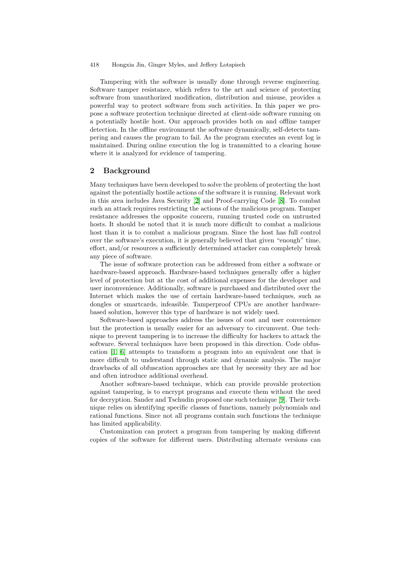Tampering with the software is usually done through reverse engineering. Software tamper resistance, which refers to the art and science of protecting software from unauthorized modification, distribution and misuse, provides a powerful way to protect software from such activities. In this paper we propose a software protection technique directed at client-side software running on a potentially hostile host. Our approach provides both on and offline tamper detection. In the offline environment the software dynamically, self-detects tampering and causes the program to fail. As the program executes an event log is maintained. During online execution the log is transmitted to a clearing house where it is analyzed for evidence of tampering.

## **2 Background**

Many techniques have been developed to solve the problem of protecting the host against the potentially hostile actions of the software it is running. Relevant work in this area includes Java Security [\[2\]](#page-13-1) and Proof-carrying Code [\[8\]](#page-13-2). To combat such an attack requires restricting the actions of the malicious program. Tamper resistance addresses the opposite concern, running trusted code on untrusted hosts. It should be noted that it is much more difficult to combat a malicious host than it is to combat a malicious program. Since the host has full control over the software's execution, it is generally believed that given "enough" time, effort, and/or resources a sufficiently determined attacker can completely break any piece of software.

The issue of software protection can be addressed from either a software or hardware-based approach. Hardware-based techniques generally offer a higher level of protection but at the cost of additional expenses for the developer and user inconvenience. Additionally, software is purchased and distributed over the Internet which makes the use of certain hardware-based techniques, such as dongles or smartcards, infeasible. Tamperproof CPUs are another hardwarebased solution, however this type of hardware is not widely used.

Software-based approaches address the issues of cost and user convenience but the protection is usually easier for an adversary to circumvent. One technique to prevent tampering is to increase the difficulty for hackers to attack the software. Several techniques have been proposed in this direction. Code obfuscation [\[1,](#page-13-3) [6\]](#page-13-4) attempts to transform a program into an equivalent one that is more difficult to understand through static and dynamic analysis. The major drawbacks of all obfuscation approaches are that by necessity they are ad hoc and often introduce additional overhead.

Another software-based technique, which can provide provable protection against tampering, is to encrypt programs and execute them without the need for decryption. Sander and Tschudin proposed one such technique [\[9\]](#page-13-5). Their technique relies on identifying specific classes of functions, namely polynomials and rational functions. Since not all programs contain such functions the technique has limited applicability.

Customization can protect a program from tampering by making different copies of the software for different users. Distributing alternate versions can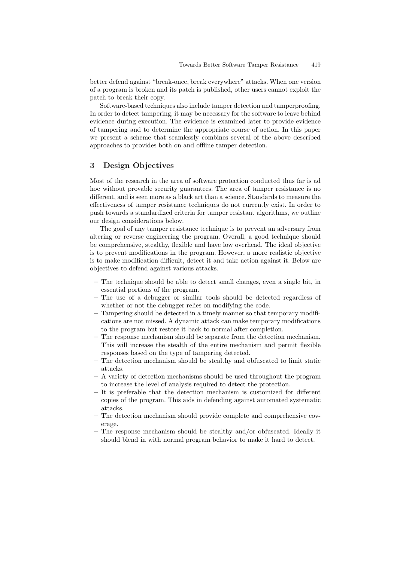better defend against "break-once, break everywhere" attacks. When one version of a program is broken and its patch is published, other users cannot exploit the patch to break their copy.

Software-based techniques also include tamper detection and tamperproofing. In order to detect tampering, it may be necessary for the software to leave behind evidence during execution. The evidence is examined later to provide evidence of tampering and to determine the appropriate course of action. In this paper we present a scheme that seamlessly combines several of the above described approaches to provides both on and offline tamper detection.

## **3 Design Objectives**

Most of the research in the area of software protection conducted thus far is ad hoc without provable security guarantees. The area of tamper resistance is no different, and is seen more as a black art than a science. Standards to measure the effectiveness of tamper resistance techniques do not currently exist. In order to push towards a standardized criteria for tamper resistant algorithms, we outline our design considerations below.

The goal of any tamper resistance technique is to prevent an adversary from altering or reverse engineering the program. Overall, a good technique should be comprehensive, stealthy, flexible and have low overhead. The ideal objective is to prevent modifications in the program. However, a more realistic objective is to make modification difficult, detect it and take action against it. Below are objectives to defend against various attacks.

- **–** The technique should be able to detect small changes, even a single bit, in essential portions of the program.
- **–** The use of a debugger or similar tools should be detected regardless of whether or not the debugger relies on modifying the code.
- **–** Tampering should be detected in a timely manner so that temporary modifications are not missed. A dynamic attack can make temporary modifications to the program but restore it back to normal after completion.
- **–** The response mechanism should be separate from the detection mechanism. This will increase the stealth of the entire mechanism and permit flexible responses based on the type of tampering detected.
- **–** The detection mechanism should be stealthy and obfuscated to limit static attacks.
- **–** A variety of detection mechanisms should be used throughout the program to increase the level of analysis required to detect the protection.
- **–** It is preferable that the detection mechanism is customized for different copies of the program. This aids in defending against automated systematic attacks.
- **–** The detection mechanism should provide complete and comprehensive coverage.
- **–** The response mechanism should be stealthy and/or obfuscated. Ideally it should blend in with normal program behavior to make it hard to detect.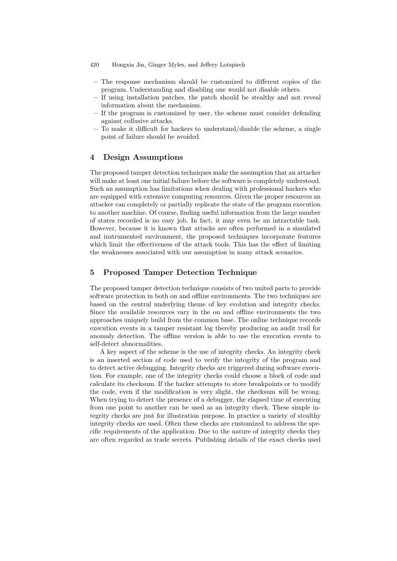- 420 Hongxia Jin, Ginger Myles, and Jeffery Lotspiech
	- **–** The response mechanism should be customized to different copies of the program. Understanding and disabling one would not disable others.
	- **–** If using installation patches, the patch should be stealthy and not reveal information about the mechanism.
	- **–** If the program is customized by user, the scheme must consider defending against collusive attacks.
	- **–** To make it difficult for hackers to understand/disable the scheme, a single point of failure should be avoided.

## **4 Design Assumptions**

The proposed tamper detection techniques make the assumption that an attacker will make at least one initial failure before the software is completely understood. Such an assumption has limitations when dealing with professional hackers who are equipped with extensive computing resources. Given the proper resources an attacker can completely or partially replicate the state of the program execution to another machine. Of course, finding useful information from the large number of states recorded is no easy job. In fact, it may even be an intractable task. However, because it is known that attacks are often performed in a simulated and instrumented environment, the proposed techniques incorporate features which limit the effectiveness of the attack tools. This has the effect of limiting the weaknesses associated with our assumption in many attack scenarios.

## **5 Proposed Tamper Detection Technique**

The proposed tamper detection technique consists of two united parts to provide software protection in both on and offline environments. The two techniques are based on the central underlying theme of key evolution and integrity checks. Since the available resources vary in the on and offline environments the two approaches uniquely build from the common base. The online technique records execution events in a tamper resistant log thereby producing an audit trail for anomaly detection. The offline version is able to use the execution events to self-detect abnormalities.

A key aspect of the scheme is the use of integrity checks. An integrity check is an inserted section of code used to verify the integrity of the program and to detect active debugging. Integrity checks are triggered during software execution. For example, one of the integrity checks could choose a block of code and calculate its checksum. If the hacker attempts to store breakpoints or to modify the code, even if the modification is very slight, the checksum will be wrong. When trying to detect the presence of a debugger, the elapsed time of executing from one point to another can be used as an integrity check. These simple integrity checks are just for illustration purpose. In practice a variety of stealthy integrity checks are used. Often these checks are customized to address the specific requirements of the application. Due to the nature of integrity checks they are often regarded as trade secrets. Publishing details of the exact checks used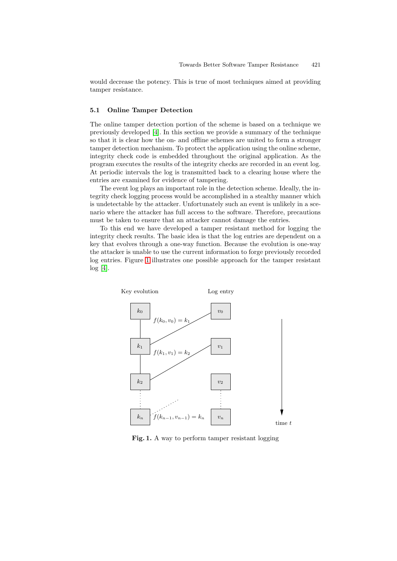would decrease the potency. This is true of most techniques aimed at providing tamper resistance.

#### **5.1 Online Tamper Detection**

The online tamper detection portion of the scheme is based on a technique we previously developed [\[4\]](#page-13-6). In this section we provide a summary of the technique so that it is clear how the on- and offline schemes are united to form a stronger tamper detection mechanism. To protect the application using the online scheme, integrity check code is embedded throughout the original application. As the program executes the results of the integrity checks are recorded in an event log. At periodic intervals the log is transmitted back to a clearing house where the entries are examined for evidence of tampering.

The event log plays an important role in the detection scheme. Ideally, the integrity check logging process would be accomplished in a stealthy manner which is undetectable by the attacker. Unfortunately such an event is unlikely in a scenario where the attacker has full access to the software. Therefore, precautions must be taken to ensure that an attacker cannot damage the entries.

To this end we have developed a tamper resistant method for logging the integrity check results. The basic idea is that the log entries are dependent on a key that evolves through a one-way function. Because the evolution is one-way the attacker is unable to use the current information to forge previously recorded log entries. Figure [1](#page-4-0) illustrates one possible approach for the tamper resistant log [\[4\]](#page-13-6).



<span id="page-4-0"></span>**Fig. 1.** A way to perform tamper resistant logging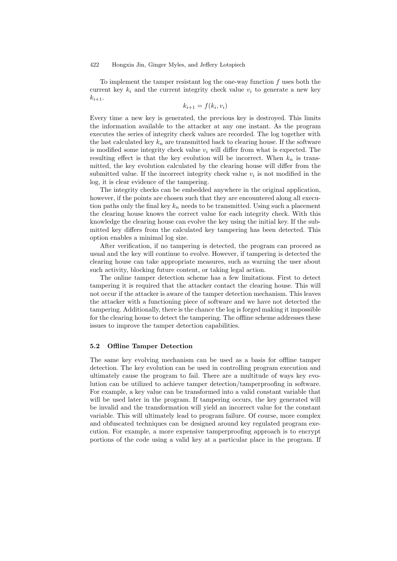To implement the tamper resistant log the one-way function  $f$  uses both the current key  $k_i$  and the current integrity check value  $v_i$  to generate a new key  $k_{i+1}$ .

$$
k_{i+1} = f(k_i, v_i)
$$

Every time a new key is generated, the previous key is destroyed. This limits the information available to the attacker at any one instant. As the program executes the series of integrity check values are recorded. The log together with the last calculated key  $k_n$  are transmitted back to clearing house. If the software is modified some integrity check value  $v_i$  will differ from what is expected. The resulting effect is that the key evolution will be incorrect. When  $k_n$  is transmitted, the key evolution calculated by the clearing house will differ from the submitted value. If the incorrect integrity check value  $v_i$  is not modified in the log, it is clear evidence of the tampering.

The integrity checks can be embedded anywhere in the original application, however, if the points are chosen such that they are encountered along all execution paths only the final key  $k_n$  needs to be transmitted. Using such a placement the clearing house knows the correct value for each integrity check. With this knowledge the clearing house can evolve the key using the initial key. If the submitted key differs from the calculated key tampering has been detected. This option enables a minimal log size.

After verification, if no tampering is detected, the program can proceed as usual and the key will continue to evolve. However, if tampering is detected the clearing house can take appropriate measures, such as warning the user about such activity, blocking future content, or taking legal action.

The online tamper detection scheme has a few limitations. First to detect tampering it is required that the attacker contact the clearing house. This will not occur if the attacker is aware of the tamper detection mechanism. This leaves the attacker with a functioning piece of software and we have not detected the tampering. Additionally, there is the chance the log is forged making it impossible for the clearing house to detect the tampering. The offline scheme addresses these issues to improve the tamper detection capabilities.

#### **5.2 Offline Tamper Detection**

The same key evolving mechanism can be used as a basis for offline tamper detection. The key evolution can be used in controlling program execution and ultimately cause the program to fail. There are a multitude of ways key evolution can be utilized to achieve tamper detection/tamperproofing in software. For example, a key value can be transformed into a valid constant variable that will be used later in the program. If tampering occurs, the key generated will be invalid and the transformation will yield an incorrect value for the constant variable. This will ultimately lead to program failure. Of course, more complex and obfuscated techniques can be designed around key regulated program execution. For example, a more expensive tamperproofing approach is to encrypt portions of the code using a valid key at a particular place in the program. If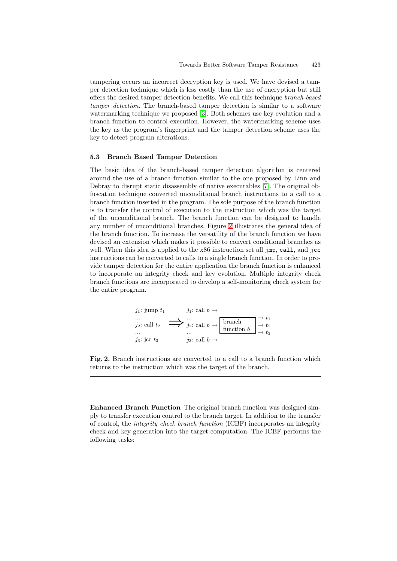tampering occurs an incorrect decryption key is used. We have devised a tamper detection technique which is less costly than the use of encryption but still offers the desired tamper detection benefits. We call this technique *branch-based tamper detection*. The branch-based tamper detection is similar to a software watermarking technique we proposed [\[3\]](#page-13-7). Both schemes use key evolution and a branch function to control execution. However, the watermarking scheme uses the key as the program's fingerprint and the tamper detection scheme uses the key to detect program alterations.

### **5.3 Branch Based Tamper Detection**

The basic idea of the branch-based tamper detection algorithm is centered around the use of a branch function similar to the one proposed by Linn and Debray to disrupt static disassembly of native executables [\[7\]](#page-13-8). The original obfuscation technique converted unconditional branch instructions to a call to a branch function inserted in the program. The sole purpose of the branch function is to transfer the control of execution to the instruction which was the target of the unconditional branch. The branch function can be designed to handle any number of unconditional branches. Figure [2](#page-6-0) illustrates the general idea of the branch function. To increase the versatility of the branch function we have devised an extension which makes it possible to convert conditional branches as well. When this idea is applied to the x86 instruction set all jmp, call, and jcc instructions can be converted to calls to a single branch function. In order to provide tamper detection for the entire application the branch function is enhanced to incorporate an integrity check and key evolution. Multiple integrity check branch functions are incorporated to develop a self-monitoring check system for the entire program.

$$
\begin{array}{ccc}\nj_1: \text{jump } t_1 & j_1: \text{call } b \rightarrow \\
\cdots & j_2: \text{call } t_2 & \longrightarrow \text{if } j_2: \text{call } b \rightarrow \text{branch} \\
\cdots & \cdots & \cdots & \text{function } b & \rightarrow t_2 \\
\vdots & \ddots & \ddots & \vdots \\
j_3: \text{jec } t_3 & j_3: \text{ call } b \rightarrow\n\end{array}
$$

<span id="page-6-0"></span>**Fig. 2.** Branch instructions are converted to a call to a branch function which returns to the instruction which was the target of the branch.

**Enhanced Branch Function** The original branch function was designed simply to transfer execution control to the branch target. In addition to the transfer of control, the *integrity check branch function* (ICBF) incorporates an integrity check and key generation into the target computation. The ICBF performs the following tasks: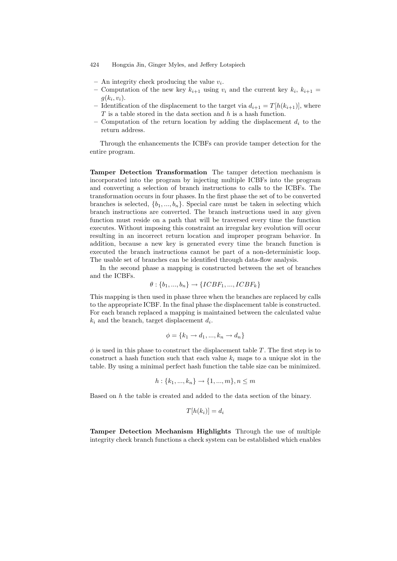- **–** An integrity check producing the value v*i*.
- Computation of the new key  $k_{i+1}$  using  $v_i$  and the current key  $k_i$ ,  $k_{i+1}$  $g(k_i, v_i)$ .
- Identification of the displacement to the target via  $d_{i+1} = T[h(k_{i+1})]$ , where T is a table stored in the data section and h is a hash function.
- $-$  Computation of the return location by adding the displacement  $d_i$  to the return address.

Through the enhancements the ICBFs can provide tamper detection for the entire program.

**Tamper Detection Transformation** The tamper detection mechanism is incorporated into the program by injecting multiple ICBFs into the program and converting a selection of branch instructions to calls to the ICBFs. The transformation occurs in four phases. In the first phase the set of to be converted branches is selected,  $\{b_1, ..., b_n\}$ . Special care must be taken in selecting which branch instructions are converted. The branch instructions used in any given function must reside on a path that will be traversed every time the function executes. Without imposing this constraint an irregular key evolution will occur resulting in an incorrect return location and improper program behavior. In addition, because a new key is generated every time the branch function is executed the branch instructions cannot be part of a non-deterministic loop. The usable set of branches can be identified through data-flow analysis.

In the second phase a mapping is constructed between the set of branches and the ICBFs.

$$
\theta
$$
 : { $b_1$ , ...,  $b_n$ }  $\rightarrow$  {*ICBF*<sub>1</sub>, ..., *ICBF*<sub>k</sub>}

This mapping is then used in phase three when the branches are replaced by calls to the appropriate ICBF. In the final phase the displacement table is constructed. For each branch replaced a mapping is maintained between the calculated value  $k_i$  and the branch, target displacement  $d_i$ .

$$
\phi = \{k_1 \to d_1, ..., k_n \to d_n\}
$$

 $\phi$  is used in this phase to construct the displacement table T. The first step is to construct a hash function such that each value  $k_i$  maps to a unique slot in the table. By using a minimal perfect hash function the table size can be minimized.

$$
h: \{k_1, ..., k_n\} \to \{1, ..., m\}, n \le m
$$

Based on h the table is created and added to the data section of the binary.

$$
T[h(k_i)] = d_i
$$

**Tamper Detection Mechanism Highlights** Through the use of multiple integrity check branch functions a check system can be established which enables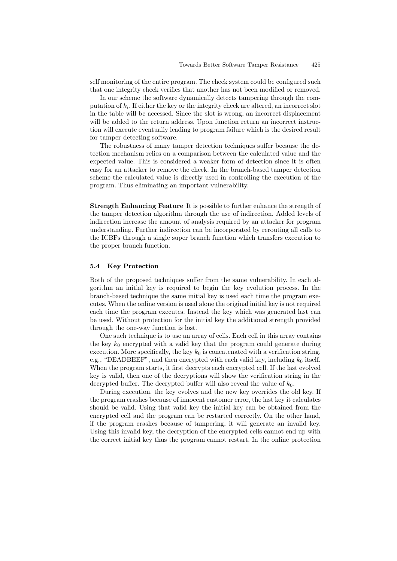self monitoring of the entire program. The check system could be configured such that one integrity check verifies that another has not been modified or removed.

In our scheme the software dynamically detects tampering through the computation of  $k_i$ . If either the key or the integrity check are altered, an incorrect slot in the table will be accessed. Since the slot is wrong, an incorrect displacement will be added to the return address. Upon function return an incorrect instruction will execute eventually leading to program failure which is the desired result for tamper detecting software.

The robustness of many tamper detection techniques suffer because the detection mechanism relies on a comparison between the calculated value and the expected value. This is considered a weaker form of detection since it is often easy for an attacker to remove the check. In the branch-based tamper detection scheme the calculated value is directly used in controlling the execution of the program. Thus eliminating an important vulnerability.

**Strength Enhancing Feature** It is possible to further enhance the strength of the tamper detection algorithm through the use of indirection. Added levels of indirection increase the amount of analysis required by an attacker for program understanding. Further indirection can be incorporated by rerouting all calls to the ICBFs through a single super branch function which transfers execution to the proper branch function.

#### **5.4 Key Protection**

Both of the proposed techniques suffer from the same vulnerability. In each algorithm an initial key is required to begin the key evolution process. In the branch-based technique the same initial key is used each time the program executes. When the online version is used alone the original initial key is not required each time the program executes. Instead the key which was generated last can be used. Without protection for the initial key the additional strength provided through the one-way function is lost.

One such technique is to use an array of cells. Each cell in this array contains the key  $k_0$  encrypted with a valid key that the program could generate during execution. More specifically, the key  $k_0$  is concatenated with a verification string, e.g., "DEADBEEF", and then encrypted with each valid key, including  $k_0$  itself. When the program starts, it first decrypts each encrypted cell. If the last evolved key is valid, then one of the decryptions will show the verification string in the decrypted buffer. The decrypted buffer will also reveal the value of  $k_0$ .

During execution, the key evolves and the new key overrides the old key. If the program crashes because of innocent customer error, the last key it calculates should be valid. Using that valid key the initial key can be obtained from the encrypted cell and the program can be restarted correctly. On the other hand, if the program crashes because of tampering, it will generate an invalid key. Using this invalid key, the decryption of the encrypted cells cannot end up with the correct initial key thus the program cannot restart. In the online protection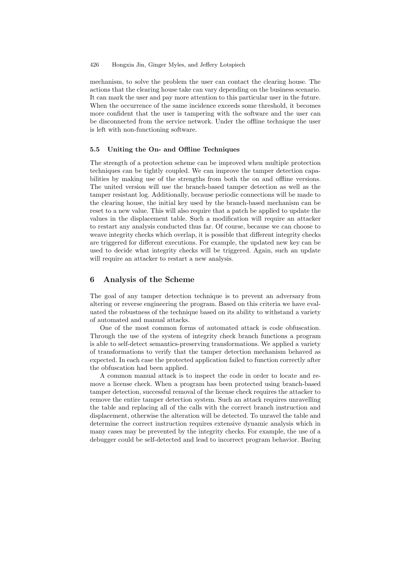mechanism, to solve the problem the user can contact the clearing house. The actions that the clearing house take can vary depending on the business scenario. It can mark the user and pay more attention to this particular user in the future. When the occurrence of the same incidence exceeds some threshold, it becomes more confident that the user is tampering with the software and the user can be disconnected from the service network. Under the offline technique the user is left with non-functioning software.

#### **5.5 Uniting the On- and Offline Techniques**

The strength of a protection scheme can be improved when multiple protection techniques can be tightly coupled. We can improve the tamper detection capabilities by making use of the strengths from both the on and offline versions. The united version will use the branch-based tamper detection as well as the tamper resistant log. Additionally, because periodic connections will be made to the clearing house, the initial key used by the branch-based mechanism can be reset to a new value. This will also require that a patch be applied to update the values in the displacement table. Such a modification will require an attacker to restart any analysis conducted thus far. Of course, because we can choose to weave integrity checks which overlap, it is possible that different integrity checks are triggered for different executions. For example, the updated new key can be used to decide what integrity checks will be triggered. Again, such an update will require an attacker to restart a new analysis.

### **6 Analysis of the Scheme**

The goal of any tamper detection technique is to prevent an adversary from altering or reverse engineering the program. Based on this criteria we have evaluated the robustness of the technique based on its ability to withstand a variety of automated and manual attacks.

One of the most common forms of automated attack is code obfuscation. Through the use of the system of integrity check branch functions a program is able to self-detect semantics-preserving transformations. We applied a variety of transformations to verify that the tamper detection mechanism behaved as expected. In each case the protected application failed to function correctly after the obfuscation had been applied.

A common manual attack is to inspect the code in order to locate and remove a license check. When a program has been protected using branch-based tamper detection, successful removal of the license check requires the attacker to remove the entire tamper detection system. Such an attack requires unravelling the table and replacing all of the calls with the correct branch instruction and displacement, otherwise the alteration will be detected. To unravel the table and determine the correct instruction requires extensive dynamic analysis which in many cases may be prevented by the integrity checks. For example, the use of a debugger could be self-detected and lead to incorrect program behavior. Baring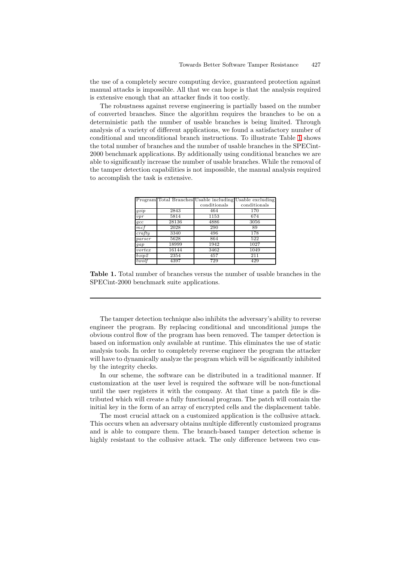the use of a completely secure computing device, guaranteed protection against manual attacks is impossible. All that we can hope is that the analysis required is extensive enough that an attacker finds it too costly.

The robustness against reverse engineering is partially based on the number of converted branches. Since the algorithm requires the branches to be on a deterministic path the number of usable branches is being limited. Through analysis of a variety of different applications, we found a satisfactory number of conditional and unconditional branch instructions. To illustrate Table [1](#page-10-0) shows the total number of branches and the number of usable branches in the SPECint-2000 benchmark applications. By additionally using conditional branches we are able to significantly increase the number of usable branches. While the removal of the tamper detection capabilities is not impossible, the manual analysis required to accomplish the task is extensive.

|        |       | Program Total Branches Usable including Usable excluding |              |
|--------|-------|----------------------------------------------------------|--------------|
|        |       | conditionals                                             | conditionals |
| qzip   | 2843  | 464                                                      | 170          |
| vpr    | 5814  | 1153                                                     | 674          |
| qcc    | 28136 | 4886                                                     | 3056         |
| mcf    | 2028  | 290                                                      | 89           |
| crafty | 3340  | 496                                                      | 178          |
| parser | 5628  | 864                                                      | 522          |
| qap    | 18999 | 1942                                                     | 1027         |
| vortex | 16144 | 3462                                                     | 1049         |
| bzip2  | 2354  | 457                                                      | 211          |
| twolf  | 4397  | 729                                                      | 429          |

<span id="page-10-0"></span>**Table 1.** Total number of branches versus the number of usable branches in the SPECint-2000 benchmark suite applications.

The tamper detection technique also inhibits the adversary's ability to reverse engineer the program. By replacing conditional and unconditional jumps the obvious control flow of the program has been removed. The tamper detection is based on information only available at runtime. This eliminates the use of static analysis tools. In order to completely reverse engineer the program the attacker will have to dynamically analyze the program which will be significantly inhibited by the integrity checks.

In our scheme, the software can be distributed in a traditional manner. If customization at the user level is required the software will be non-functional until the user registers it with the company. At that time a patch file is distributed which will create a fully functional program. The patch will contain the initial key in the form of an array of encrypted cells and the displacement table.

The most crucial attack on a customized application is the collusive attack. This occurs when an adversary obtains multiple differently customized programs and is able to compare them. The branch-based tamper detection scheme is highly resistant to the collusive attack. The only difference between two cus-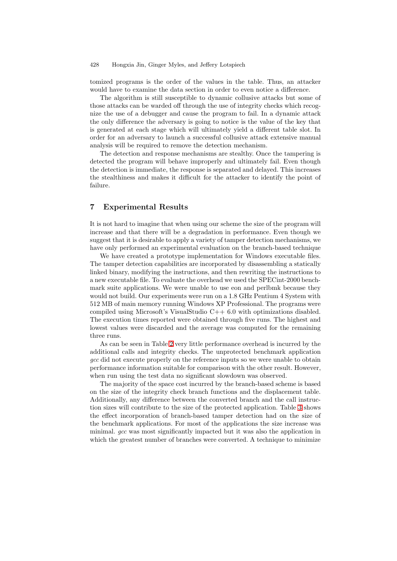tomized programs is the order of the values in the table. Thus, an attacker would have to examine the data section in order to even notice a difference.

The algorithm is still susceptible to dynamic collusive attacks but some of those attacks can be warded off through the use of integrity checks which recognize the use of a debugger and cause the program to fail. In a dynamic attack the only difference the adversary is going to notice is the value of the key that is generated at each stage which will ultimately yield a different table slot. In order for an adversary to launch a successful collusive attack extensive manual analysis will be required to remove the detection mechanism.

The detection and response mechanisms are stealthy. Once the tampering is detected the program will behave improperly and ultimately fail. Even though the detection is immediate, the response is separated and delayed. This increases the stealthiness and makes it difficult for the attacker to identify the point of failure.

### **7 Experimental Results**

It is not hard to imagine that when using our scheme the size of the program will increase and that there will be a degradation in performance. Even though we suggest that it is desirable to apply a variety of tamper detection mechanisms, we have only performed an experimental evaluation on the branch-based technique

We have created a prototype implementation for Windows executable files. The tamper detection capabilities are incorporated by disassembling a statically linked binary, modifying the instructions, and then rewriting the instructions to a new executable file. To evaluate the overhead we used the SPECint-2000 benchmark suite applications. We were unable to use eon and perlbmk because they would not build. Our experiments were run on a 1.8 GHz Pentium 4 System with 512 MB of main memory running Windows XP Professional. The programs were compiled using Microsoft's VisualStudio  $C++6.0$  with optimizations disabled. The execution times reported were obtained through five runs. The highest and lowest values were discarded and the average was computed for the remaining three runs.

As can be seen in Table [2](#page-12-1) very little performance overhead is incurred by the additional calls and integrity checks. The unprotected benchmark application *gcc* did not execute properly on the reference inputs so we were unable to obtain performance information suitable for comparison with the other result. However, when run using the test data no significant slowdown was observed.

The majority of the space cost incurred by the branch-based scheme is based on the size of the integrity check branch functions and the displacement table. Additionally, any difference between the converted branch and the call instruction sizes will contribute to the size of the protected application. Table [3](#page-12-2) shows the effect incorporation of branch-based tamper detection had on the size of the benchmark applications. For most of the applications the size increase was minimal. *gcc* was most significantly impacted but it was also the application in which the greatest number of branches were converted. A technique to minimize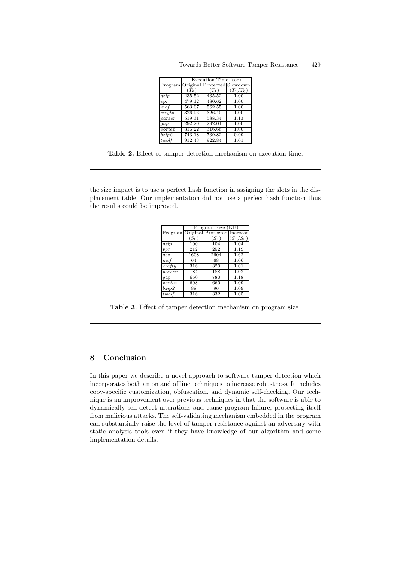|        | Execution Time (sec) |                                     |             |  |
|--------|----------------------|-------------------------------------|-------------|--|
|        |                      | Program Original Protected Slowdown |             |  |
|        | $(T_0)$              | $(T_1)$                             | $(T_1/T_0)$ |  |
| qzp    | 435.52               | 435.52                              | 1.00        |  |
| vpr    | 479.12               | 480.62                              | 1.00        |  |
| mcf    | 563.07               | 562.55                              | 1.00        |  |
| crafty | 326.96               | 326.40                              | 1.00        |  |
| parser | 519.31               | 588.34                              | 1.13        |  |
| gap    | 292.20               | 292.01                              | 1.00        |  |
| vortex | 316.22               | 316.66                              | 1.00        |  |
| bzip2  | 743.18               | 739.82                              | 0.99        |  |
| twolf  | 912.43               | 922.84                              | 1.01        |  |
|        |                      |                                     |             |  |

<span id="page-12-1"></span><span id="page-12-0"></span>**Table 2.** Effect of tamper detection mechanism on execution time.

the size impact is to use a perfect hash function in assigning the slots in the displacement table. Our implementation did not use a perfect hash function thus the results could be improved.

|        | Program Size (KB) |                                     |             |  |
|--------|-------------------|-------------------------------------|-------------|--|
|        |                   | Program Original Protected Increase |             |  |
|        | $(S_0)$           | $(S_1)$                             | $(S_1/S_0)$ |  |
| qzip   | 100               | 104                                 | 1.04        |  |
| vpr    | 212               | 252                                 | 1.19        |  |
| qcc    | $16\overline{08}$ | 2604                                | 1.62        |  |
| mcf    | 64                | 68                                  | 1.06        |  |
| crafty | 316               | 320                                 | 1.01        |  |
| parser | 184               | 188                                 | 1.02        |  |
| gap    | 660               | 780                                 | 1.18        |  |
| vortex | 608               | 660                                 | 1.09        |  |
| bzip2  | 88                | 96                                  | 1.09        |  |
| twolf  | 316               | 332                                 | 1.05        |  |
|        |                   |                                     |             |  |

<span id="page-12-2"></span>**Table 3.** Effect of tamper detection mechanism on program size.

## **8 Conclusion**

In this paper we describe a novel approach to software tamper detection which incorporates both an on and offline techniques to increase robustness. It includes copy-specific customization, obfuscation, and dynamic self-checking. Our technique is an improvement over previous techniques in that the software is able to dynamically self-detect alterations and cause program failure, protecting itself from malicious attacks. The self-validating mechanism embedded in the program can substantially raise the level of tamper resistance against an adversary with static analysis tools even if they have knowledge of our algorithm and some implementation details.